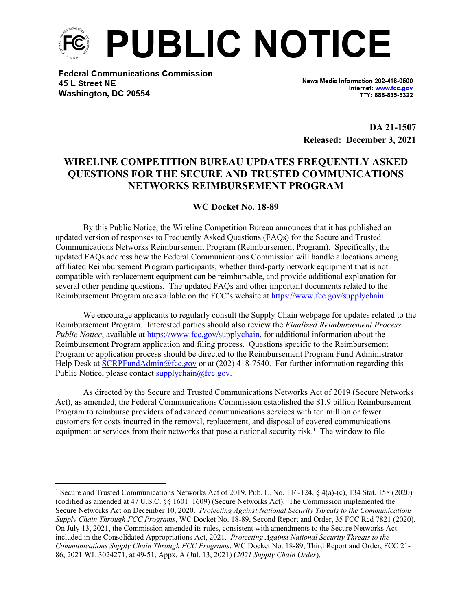

**Federal Communications Commission** 45 L Street NE Washington, DC 20554

News Media Information 202-418-0500 Internet: www.fcc.gov TTY: 888-835-5322

**DA 21-1507 Released: December 3, 2021**

## **WIRELINE COMPETITION BUREAU UPDATES FREQUENTLY ASKED QUESTIONS FOR THE SECURE AND TRUSTED COMMUNICATIONS NETWORKS REIMBURSEMENT PROGRAM**

## **WC Docket No. 18-89**

By this Public Notice, the Wireline Competition Bureau announces that it has published an updated version of responses to Frequently Asked Questions (FAQs) for the Secure and Trusted Communications Networks Reimbursement Program (Reimbursement Program). Specifically, the updated FAQs address how the Federal Communications Commission will handle allocations among affiliated Reimbursement Program participants, whether third-party network equipment that is not compatible with replacement equipment can be reimbursable, and provide additional explanation for several other pending questions. The updated FAQs and other important documents related to the Reimbursement Program are available on the FCC's website at<https://www.fcc.gov/supplychain>.

We encourage applicants to regularly consult the Supply Chain webpage for updates related to the Reimbursement Program. Interested parties should also review the *Finalized Reimbursement Process Public Notice*, available at [https://www.fcc.gov/supplychain,](https://www.fcc.gov/supplychain) for additional information about the Reimbursement Program application and filing process. Questions specific to the Reimbursement Program or application process should be directed to the Reimbursement Program Fund Administrator Help Desk at [SCRPFundAdmin@fcc.gov](mailto:SCRPFundAdmin@fcc.gov) or at (202) 418-7540. For further information regarding this Public Notice, please contact  $\frac{\text{supplychain}(a)\text{fcc.gov}}{x}$ .

As directed by the Secure and Trusted Communications Networks Act of 2019 (Secure Networks Act), as amended, the Federal Communications Commission established the \$1.9 billion Reimbursement Program to reimburse providers of advanced communications services with ten million or fewer customers for costs incurred in the removal, replacement, and disposal of covered communications equipment or services from their networks that pose a national security risk.<sup>1</sup> The window to file

<sup>&</sup>lt;sup>1</sup> Secure and Trusted Communications Networks Act of 2019, Pub. L. No. 116-124, § 4(a)-(c), 134 Stat. 158 (2020) (codified as amended at 47 U.S.C. §§ 1601–1609) (Secure Networks Act). The Commission implemented the Secure Networks Act on December 10, 2020. *Protecting Against National Security Threats to the Communications Supply Chain Through FCC Programs*, WC Docket No. 18-89, Second Report and Order, 35 FCC Rcd 7821 (2020). On July 13, 2021, the Commission amended its rules, consistent with amendments to the Secure Networks Act included in the Consolidated Appropriations Act, 2021. *Protecting Against National Security Threats to the Communications Supply Chain Through FCC Programs*, WC Docket No. 18-89, Third Report and Order, FCC 21- 86, 2021 WL 3024271, at 49-51, Appx. A (Jul. 13, 2021) (*2021 Supply Chain Order*).